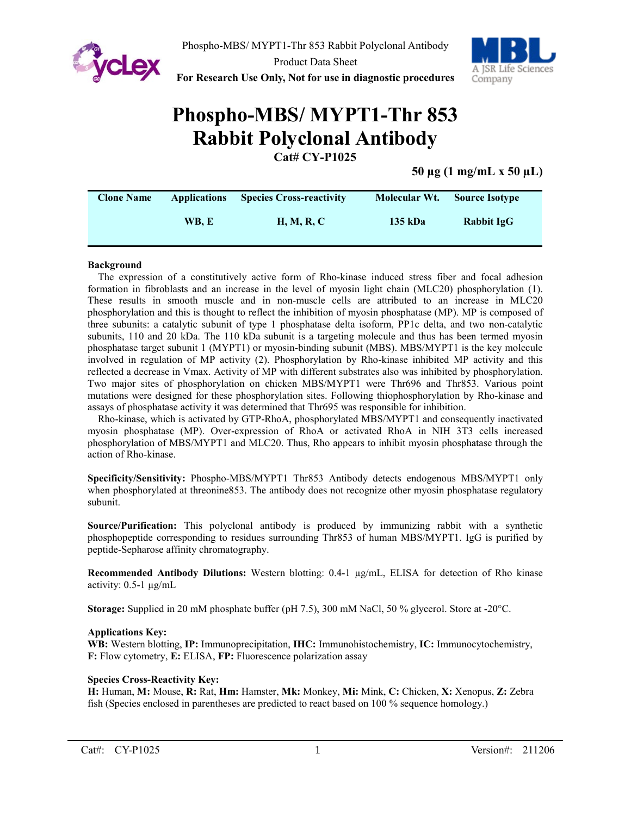

**For Research Use Only, Not for use in diagnostic procedures**



# **Phospho-MBS/ MYPT1-Thr 853 Rabbit Polyclonal Antibody Cat# CY-P1025**

**50 µg (1 mg/mL x 50 µL)**

| <b>Clone Name</b> | <b>Applications</b> | <b>Species Cross-reactivity</b> | Molecular Wt. | <b>Source Isotype</b> |
|-------------------|---------------------|---------------------------------|---------------|-----------------------|
|                   | WB. E               | <b>H, M, R, C</b>               | 135 kDa       | Rabbit IgG            |

#### **Background**

The expression of a constitutively active form of Rho-kinase induced stress fiber and focal adhesion formation in fibroblasts and an increase in the level of myosin light chain (MLC20) phosphorylation (1). These results in smooth muscle and in non-muscle cells are attributed to an increase in MLC20 phosphorylation and this is thought to reflect the inhibition of myosin phosphatase (MP). MP is composed of three subunits: a catalytic subunit of type 1 phosphatase delta isoform, PP1c delta, and two non-catalytic subunits, 110 and 20 kDa. The 110 kDa subunit is a targeting molecule and thus has been termed myosin phosphatase target subunit 1 (MYPT1) or myosin-binding subunit (MBS). MBS/MYPT1 is the key molecule involved in regulation of MP activity (2). Phosphorylation by Rho-kinase inhibited MP activity and this reflected a decrease in Vmax. Activity of MP with different substrates also was inhibited by phosphorylation. Two major sites of phosphorylation on chicken MBS/MYPT1 were Thr696 and Thr853. Various point mutations were designed for these phosphorylation sites. Following thiophosphorylation by Rho-kinase and assays of phosphatase activity it was determined that Thr695 was responsible for inhibition.

Rho-kinase, which is activated by GTP-RhoA, phosphorylated MBS/MYPT1 and consequently inactivated myosin phosphatase (MP). Over-expression of RhoA or activated RhoA in NIH 3T3 cells increased phosphorylation of MBS/MYPT1 and MLC20. Thus, Rho appears to inhibit myosin phosphatase through the action of Rho-kinase.

**Specificity/Sensitivity:** Phospho-MBS/MYPT1 Thr853 Antibody detects endogenous MBS/MYPT1 only when phosphorylated at threonine853. The antibody does not recognize other myosin phosphatase regulatory subunit.

**Source/Purification:** This polyclonal antibody is produced by immunizing rabbit with a synthetic phosphopeptide corresponding to residues surrounding Thr853 of human MBS/MYPT1. IgG is purified by peptide-Sepharose affinity chromatography.

**Recommended Antibody Dilutions:** Western blotting: 0.4-1 µg/mL, ELISA for detection of Rho kinase activity: 0.5-1 µg/mL

**Storage:** Supplied in 20 mM phosphate buffer (pH 7.5), 300 mM NaCl, 50 % glycerol. Store at -20°C.

#### **Applications Key:**

**WB:** Western blotting, **IP:** Immunoprecipitation, **IHC:** Immunohistochemistry, **IC:** Immunocytochemistry, **F:** Flow cytometry, **E:** ELISA, **FP:** Fluorescence polarization assay

#### **Species Cross-Reactivity Key:**

**H:** Human, **M:** Mouse, **R:** Rat, **Hm:** Hamster, **Mk:** Monkey, **Mi:** Mink, **C:** Chicken, **X:** Xenopus, **Z:** Zebra fish (Species enclosed in parentheses are predicted to react based on 100 % sequence homology.)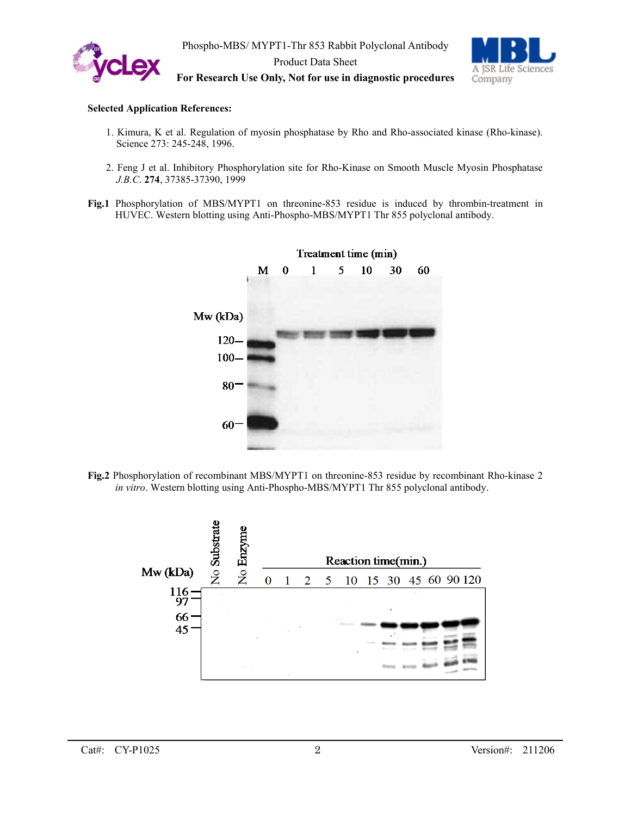



**For Research Use Only, Not for use in diagnostic procedures**

#### **Selected Application References:**

- 1. Kimura, K et al. Regulation of myosin phosphatase by Rho and Rho-associated kinase (Rho-kinase). Science 273: 245-248, 1996.
- 2. Feng J et al. Inhibitory Phosphorylation site for Rho-Kinase on Smooth Muscle Myosin Phosphatase *J.B.C*. **274**, 37385-37390, 1999
- **Fig.1** Phosphorylation of MBS/MYPT1 on threonine-853 residue is induced by thrombin-treatment in HUVEC. Western blotting using Anti-Phospho-MBS/MYPT1 Thr 855 polyclonal antibody.



**Fig.2** Phosphorylation of recombinant MBS/MYPT1 on threonine-853 residue by recombinant Rho-kinase 2 *in vitro*. Western blotting using Anti-Phospho-MBS/MYPT1 Thr 855 polyclonal antibody.

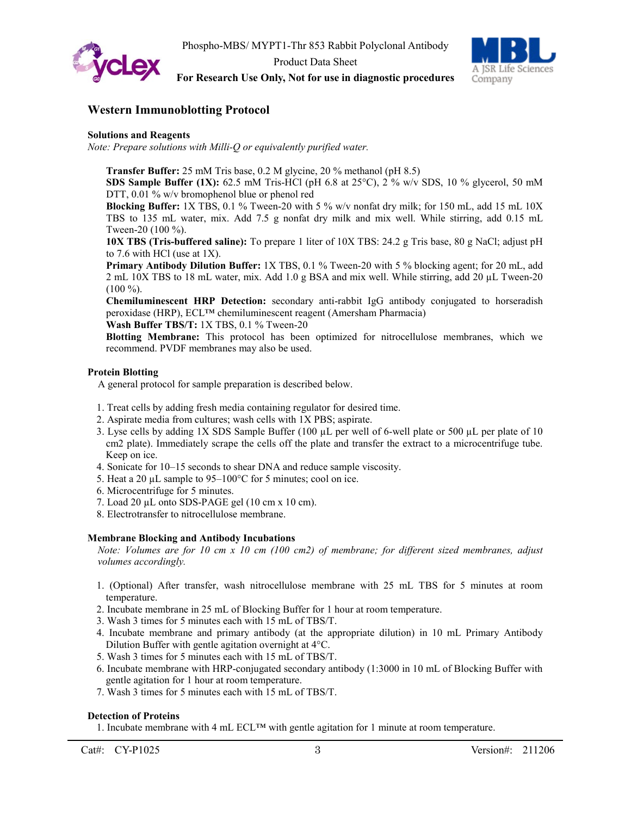



**For Research Use Only, Not for use in diagnostic procedures**

### **Western Immunoblotting Protocol**

#### **Solutions and Reagents**

*Note: Prepare solutions with Milli-Q or equivalently purified water.*

**Transfer Buffer:** 25 mM Tris base, 0.2 M glycine, 20 % methanol (pH 8.5)

**SDS Sample Buffer (1X):** 62.5 mM Tris-HCl (pH 6.8 at 25<sup>o</sup>C), 2 % w/v SDS, 10 % glycerol, 50 mM DTT, 0.01 % w/v bromophenol blue or phenol red

**Blocking Buffer:** 1X TBS, 0.1 % Tween-20 with 5 % w/v nonfat dry milk; for 150 mL, add 15 mL 10X TBS to 135 mL water, mix. Add 7.5 g nonfat dry milk and mix well. While stirring, add 0.15 mL Tween-20 (100 %).

**10X TBS (Tris-buffered saline):** To prepare 1 liter of 10X TBS: 24.2 g Tris base, 80 g NaCl; adjust pH to 7.6 with HCl (use at 1X).

**Primary Antibody Dilution Buffer:** 1X TBS, 0.1 % Tween-20 with 5 % blocking agent; for 20 mL, add 2 mL 10X TBS to 18 mL water, mix. Add 1.0 g BSA and mix well. While stirring, add 20 µL Tween-20 (100 %).

**Chemiluminescent HRP Detection:** secondary anti-rabbit IgG antibody conjugated to horseradish peroxidase (HRP), ECL™ chemiluminescent reagent (Amersham Pharmacia)

**Wash Buffer TBS/T:** 1X TBS, 0.1 % Tween-20

**Blotting Membrane:** This protocol has been optimized for nitrocellulose membranes, which we recommend. PVDF membranes may also be used.

#### **Protein Blotting**

A general protocol for sample preparation is described below.

- 1. Treat cells by adding fresh media containing regulator for desired time.
- 2. Aspirate media from cultures; wash cells with 1X PBS; aspirate.
- 3. Lyse cells by adding 1X SDS Sample Buffer (100 µL per well of 6-well plate or 500 µL per plate of 10 cm2 plate). Immediately scrape the cells off the plate and transfer the extract to a microcentrifuge tube. Keep on ice.
- 4. Sonicate for 10–15 seconds to shear DNA and reduce sample viscosity.
- 5. Heat a 20  $\mu$ L sample to 95–100°C for 5 minutes; cool on ice.
- 6. Microcentrifuge for 5 minutes.
- 7. Load 20 µL onto SDS-PAGE gel (10 cm x 10 cm).
- 8. Electrotransfer to nitrocellulose membrane.

#### **Membrane Blocking and Antibody Incubations**

*Note: Volumes are for 10 cm x 10 cm (100 cm2) of membrane; for different sized membranes, adjust volumes accordingly.*

- 1. (Optional) After transfer, wash nitrocellulose membrane with 25 mL TBS for 5 minutes at room temperature.
- 2. Incubate membrane in 25 mL of Blocking Buffer for 1 hour at room temperature.
- 3. Wash 3 times for 5 minutes each with 15 mL of TBS/T.
- 4. Incubate membrane and primary antibody (at the appropriate dilution) in 10 mL Primary Antibody Dilution Buffer with gentle agitation overnight at 4°C.
- 5. Wash 3 times for 5 minutes each with 15 mL of TBS/T.
- 6. Incubate membrane with HRP-conjugated secondary antibody (1:3000 in 10 mL of Blocking Buffer with gentle agitation for 1 hour at room temperature.
- 7. Wash 3 times for 5 minutes each with 15 mL of TBS/T.

#### **Detection of Proteins**

1. Incubate membrane with 4 mL ECL™ with gentle agitation for 1 minute at room temperature.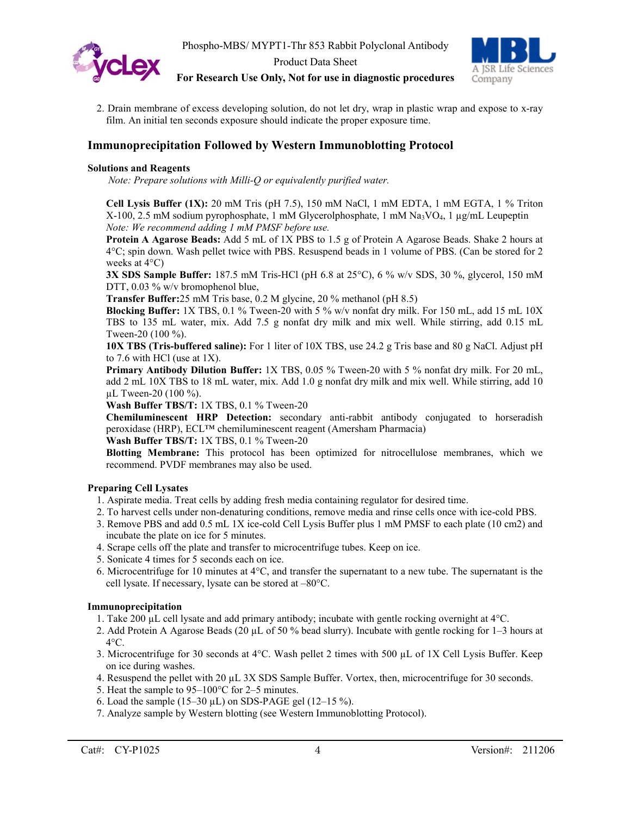



**For Research Use Only, Not for use in diagnostic procedures**

2. Drain membrane of excess developing solution, do not let dry, wrap in plastic wrap and expose to x-ray film. An initial ten seconds exposure should indicate the proper exposure time.

# **Immunoprecipitation Followed by Western Immunoblotting Protocol**

#### **Solutions and Reagents**

*Note: Prepare solutions with Milli-Q or equivalently purified water.*

**Cell Lysis Buffer (1X):** 20 mM Tris (pH 7.5), 150 mM NaCl, 1 mM EDTA, 1 mM EGTA, 1 % Triton X-100, 2.5 mM sodium pyrophosphate, 1 mM Glycerolphosphate, 1 mM Na3VO4, 1 µg/mL Leupeptin *Note: We recommend adding 1 mM PMSF before use.*

**Protein A Agarose Beads:** Add 5 mL of 1X PBS to 1.5 g of Protein A Agarose Beads. Shake 2 hours at 4°C; spin down. Wash pellet twice with PBS. Resuspend beads in 1 volume of PBS. (Can be stored for 2 weeks at 4°C)

**3X SDS Sample Buffer:** 187.5 mM Tris-HCl (pH 6.8 at 25°C), 6 % w/v SDS, 30 %, glycerol, 150 mM DTT, 0.03 % w/v bromophenol blue,

**Transfer Buffer:**25 mM Tris base, 0.2 M glycine, 20 % methanol (pH 8.5)

**Blocking Buffer:** 1X TBS, 0.1 % Tween-20 with 5 % w/v nonfat dry milk. For 150 mL, add 15 mL 10X TBS to 135 mL water, mix. Add 7.5 g nonfat dry milk and mix well. While stirring, add 0.15 mL Tween-20 (100 %).

**10X TBS (Tris-buffered saline):** For 1 liter of 10X TBS, use 24.2 g Tris base and 80 g NaCl. Adjust pH to 7.6 with HCl (use at 1X).

**Primary Antibody Dilution Buffer:** 1X TBS, 0.05 % Tween-20 with 5 % nonfat dry milk. For 20 mL, add 2 mL 10X TBS to 18 mL water, mix. Add 1.0 g nonfat dry milk and mix well. While stirring, add 10 µL Tween-20 (100 %).

**Wash Buffer TBS/T:** 1X TBS, 0.1 % Tween-20

**Chemiluminescent HRP Detection:** secondary anti-rabbit antibody conjugated to horseradish peroxidase (HRP), ECL™ chemiluminescent reagent (Amersham Pharmacia)

**Wash Buffer TBS/T:** 1X TBS, 0.1 % Tween-20

**Blotting Membrane:** This protocol has been optimized for nitrocellulose membranes, which we recommend. PVDF membranes may also be used.

#### **Preparing Cell Lysates**

- 1. Aspirate media. Treat cells by adding fresh media containing regulator for desired time.
- 2. To harvest cells under non-denaturing conditions, remove media and rinse cells once with ice-cold PBS.
- 3. Remove PBS and add 0.5 mL 1X ice-cold Cell Lysis Buffer plus 1 mM PMSF to each plate (10 cm2) and incubate the plate on ice for 5 minutes.
- 4. Scrape cells off the plate and transfer to microcentrifuge tubes. Keep on ice.
- 5. Sonicate 4 times for 5 seconds each on ice.
- 6. Microcentrifuge for 10 minutes at 4°C, and transfer the supernatant to a new tube. The supernatant is the cell lysate. If necessary, lysate can be stored at –80°C.

#### **Immunoprecipitation**

- 1. Take 200  $\mu$ L cell lysate and add primary antibody; incubate with gentle rocking overnight at  $4^{\circ}$ C.
- 2. Add Protein A Agarose Beads (20 µL of 50 % bead slurry). Incubate with gentle rocking for 1–3 hours at  $4^{\circ}$ C.
- 3. Microcentrifuge for 30 seconds at  $4^{\circ}$ C. Wash pellet 2 times with 500 µL of 1X Cell Lysis Buffer. Keep on ice during washes.
- 4. Resuspend the pellet with 20 µL 3X SDS Sample Buffer. Vortex, then, microcentrifuge for 30 seconds.
- 5. Heat the sample to 95–100°C for 2–5 minutes.
- 6. Load the sample  $(15-30 \,\mu L)$  on SDS-PAGE gel  $(12-15 \%)$ .
- 7. Analyze sample by Western blotting (see Western Immunoblotting Protocol).